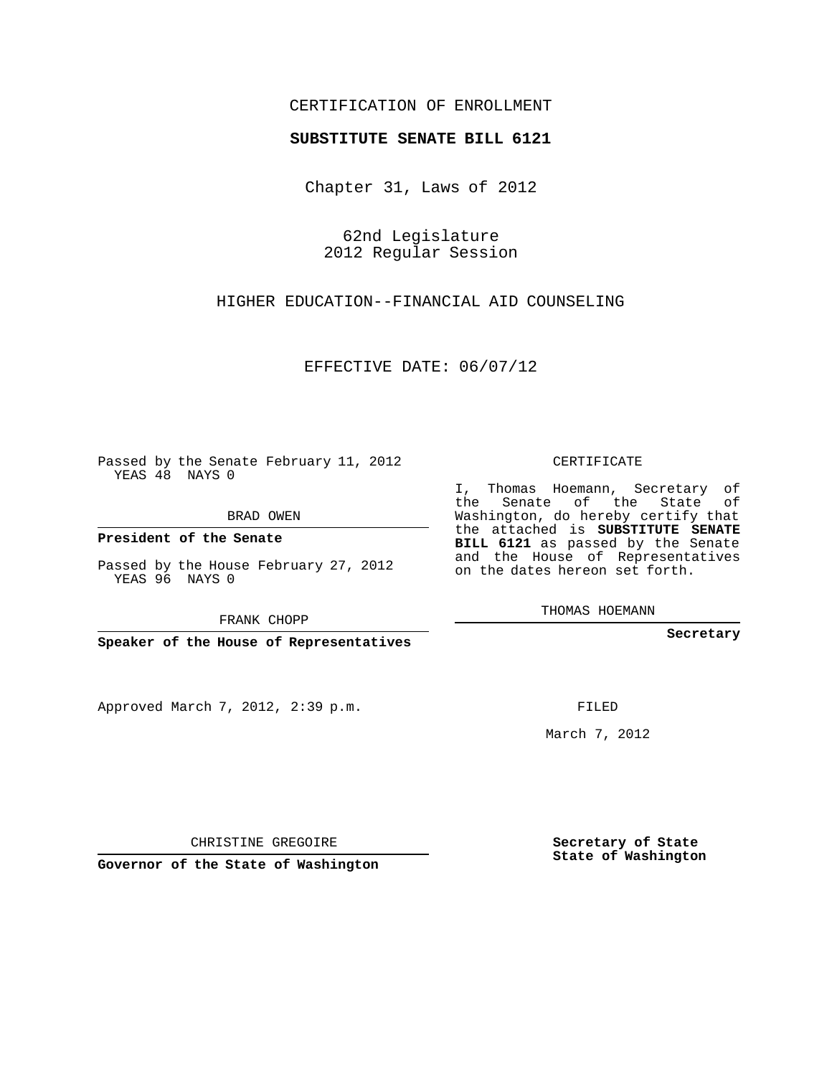## CERTIFICATION OF ENROLLMENT

## **SUBSTITUTE SENATE BILL 6121**

Chapter 31, Laws of 2012

62nd Legislature 2012 Regular Session

HIGHER EDUCATION--FINANCIAL AID COUNSELING

EFFECTIVE DATE: 06/07/12

Passed by the Senate February 11, 2012 YEAS 48 NAYS 0

BRAD OWEN

**President of the Senate**

Passed by the House February 27, 2012 YEAS 96 NAYS 0

FRANK CHOPP

**Speaker of the House of Representatives**

Approved March 7, 2012, 2:39 p.m.

CERTIFICATE

I, Thomas Hoemann, Secretary of the Senate of the State of Washington, do hereby certify that the attached is **SUBSTITUTE SENATE BILL 6121** as passed by the Senate and the House of Representatives on the dates hereon set forth.

THOMAS HOEMANN

**Secretary**

FILED

March 7, 2012

**Secretary of State State of Washington**

CHRISTINE GREGOIRE

**Governor of the State of Washington**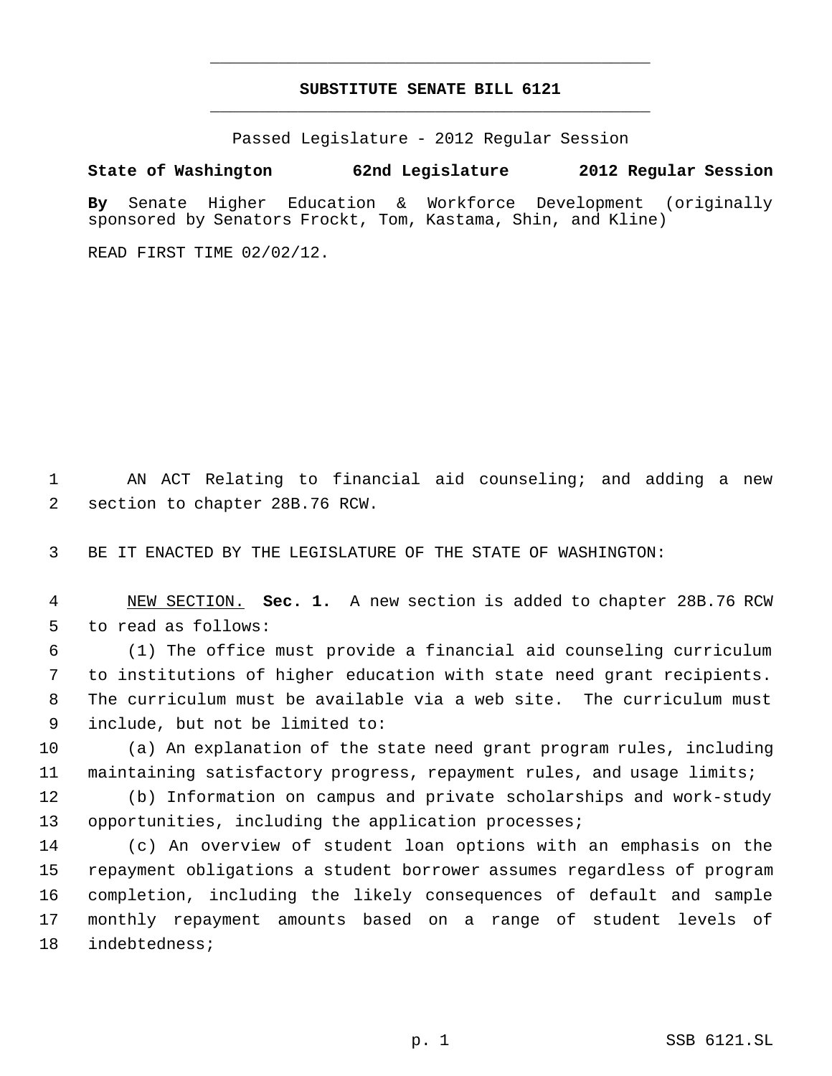## **SUBSTITUTE SENATE BILL 6121** \_\_\_\_\_\_\_\_\_\_\_\_\_\_\_\_\_\_\_\_\_\_\_\_\_\_\_\_\_\_\_\_\_\_\_\_\_\_\_\_\_\_\_\_\_

\_\_\_\_\_\_\_\_\_\_\_\_\_\_\_\_\_\_\_\_\_\_\_\_\_\_\_\_\_\_\_\_\_\_\_\_\_\_\_\_\_\_\_\_\_

Passed Legislature - 2012 Regular Session

## **State of Washington 62nd Legislature 2012 Regular Session**

**By** Senate Higher Education & Workforce Development (originally sponsored by Senators Frockt, Tom, Kastama, Shin, and Kline)

READ FIRST TIME 02/02/12.

 AN ACT Relating to financial aid counseling; and adding a new section to chapter 28B.76 RCW.

BE IT ENACTED BY THE LEGISLATURE OF THE STATE OF WASHINGTON:

 NEW SECTION. **Sec. 1.** A new section is added to chapter 28B.76 RCW to read as follows:

 (1) The office must provide a financial aid counseling curriculum to institutions of higher education with state need grant recipients. The curriculum must be available via a web site. The curriculum must include, but not be limited to:

 (a) An explanation of the state need grant program rules, including maintaining satisfactory progress, repayment rules, and usage limits;

 (b) Information on campus and private scholarships and work-study opportunities, including the application processes;

 (c) An overview of student loan options with an emphasis on the repayment obligations a student borrower assumes regardless of program completion, including the likely consequences of default and sample monthly repayment amounts based on a range of student levels of indebtedness;